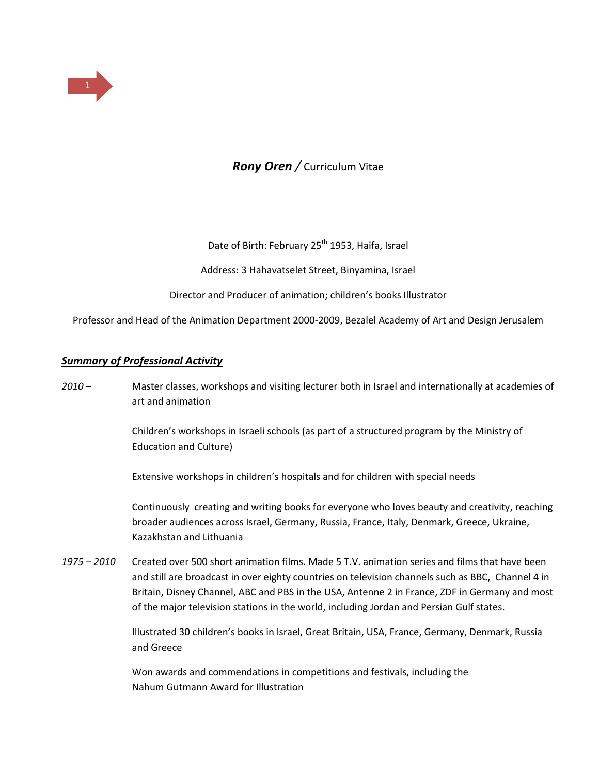

# *Rony Oren /* Curriculum Vitae

Date of Birth: February 25<sup>th</sup> 1953, Haifa, Israel

Address: 3 Hahavatselet Street, Binyamina, Israel

Director and Producer of animation; children's books Illustrator

Professor and Head of the Animation Department 2000-2009, Bezalel Academy of Art and Design Jerusalem

#### *Summary of Professional Activity*

*2010 –* Master classes, workshops and visiting lecturer both in Israel and internationally at academies of art and animation

> Children's workshops in Israeli schools (as part of a structured program by the Ministry of Education and Culture)

Extensive workshops in children's hospitals and for children with special needs

Continuously creating and writing books for everyone who loves beauty and creativity, reaching broader audiences across Israel, Germany, Russia, France, Italy, Denmark, Greece, Ukraine, Kazakhstan and Lithuania

*1975 – 2010* Created over 500 short animation films. Made 5 T.V. animation series and films that have been and still are broadcast in over eighty countries on television channels such as BBC, Channel 4 in Britain, Disney Channel, ABC and PBS in the USA, Antenne 2 in France, ZDF in Germany and most of the major television stations in the world, including Jordan and Persian Gulf states.

> Illustrated 30 children's books in Israel, Great Britain, USA, France, Germany, Denmark, Russia and Greece

Won awards and commendations in competitions and festivals, including the Nahum Gutmann Award for Illustration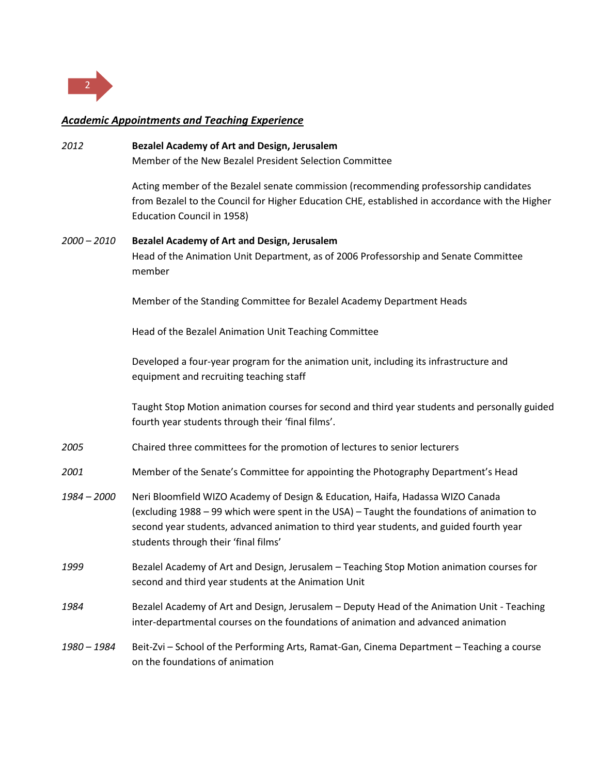

# *Academic Appointments and Teaching Experience*

| 2012          | Bezalel Academy of Art and Design, Jerusalem<br>Member of the New Bezalel President Selection Committee                                                                                                                                                                                                         |
|---------------|-----------------------------------------------------------------------------------------------------------------------------------------------------------------------------------------------------------------------------------------------------------------------------------------------------------------|
|               | Acting member of the Bezalel senate commission (recommending professorship candidates<br>from Bezalel to the Council for Higher Education CHE, established in accordance with the Higher<br><b>Education Council in 1958)</b>                                                                                   |
| $2000 - 2010$ | Bezalel Academy of Art and Design, Jerusalem<br>Head of the Animation Unit Department, as of 2006 Professorship and Senate Committee<br>member                                                                                                                                                                  |
|               | Member of the Standing Committee for Bezalel Academy Department Heads                                                                                                                                                                                                                                           |
|               | Head of the Bezalel Animation Unit Teaching Committee                                                                                                                                                                                                                                                           |
|               | Developed a four-year program for the animation unit, including its infrastructure and<br>equipment and recruiting teaching staff                                                                                                                                                                               |
|               | Taught Stop Motion animation courses for second and third year students and personally guided<br>fourth year students through their 'final films'.                                                                                                                                                              |
| 2005          | Chaired three committees for the promotion of lectures to senior lecturers                                                                                                                                                                                                                                      |
| 2001          | Member of the Senate's Committee for appointing the Photography Department's Head                                                                                                                                                                                                                               |
| 1984 - 2000   | Neri Bloomfield WIZO Academy of Design & Education, Haifa, Hadassa WIZO Canada<br>(excluding 1988 - 99 which were spent in the USA) - Taught the foundations of animation to<br>second year students, advanced animation to third year students, and guided fourth year<br>students through their 'final films' |
| 1999          | Bezalel Academy of Art and Design, Jerusalem - Teaching Stop Motion animation courses for<br>second and third year students at the Animation Unit                                                                                                                                                               |
| 1984          | Bezalel Academy of Art and Design, Jerusalem - Deputy Head of the Animation Unit - Teaching<br>inter-departmental courses on the foundations of animation and advanced animation                                                                                                                                |
| 1980 - 1984   | Beit-Zvi - School of the Performing Arts, Ramat-Gan, Cinema Department - Teaching a course<br>on the foundations of animation                                                                                                                                                                                   |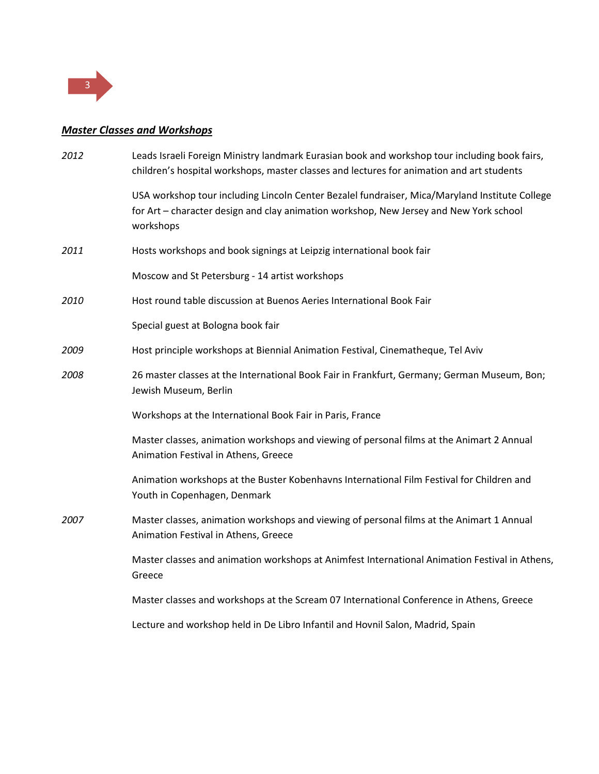

### *Master Classes and Workshops*

| 2012 | Leads Israeli Foreign Ministry landmark Eurasian book and workshop tour including book fairs,<br>children's hospital workshops, master classes and lectures for animation and art students            |
|------|-------------------------------------------------------------------------------------------------------------------------------------------------------------------------------------------------------|
|      | USA workshop tour including Lincoln Center Bezalel fundraiser, Mica/Maryland Institute College<br>for Art - character design and clay animation workshop, New Jersey and New York school<br>workshops |
| 2011 | Hosts workshops and book signings at Leipzig international book fair                                                                                                                                  |
|      | Moscow and St Petersburg - 14 artist workshops                                                                                                                                                        |
| 2010 | Host round table discussion at Buenos Aeries International Book Fair                                                                                                                                  |
|      | Special guest at Bologna book fair                                                                                                                                                                    |
| 2009 | Host principle workshops at Biennial Animation Festival, Cinematheque, Tel Aviv                                                                                                                       |
| 2008 | 26 master classes at the International Book Fair in Frankfurt, Germany; German Museum, Bon;<br>Jewish Museum, Berlin                                                                                  |
|      | Workshops at the International Book Fair in Paris, France                                                                                                                                             |
|      | Master classes, animation workshops and viewing of personal films at the Animart 2 Annual<br>Animation Festival in Athens, Greece                                                                     |
|      | Animation workshops at the Buster Kobenhavns International Film Festival for Children and<br>Youth in Copenhagen, Denmark                                                                             |
| 2007 | Master classes, animation workshops and viewing of personal films at the Animart 1 Annual<br>Animation Festival in Athens, Greece                                                                     |
|      | Master classes and animation workshops at Animfest International Animation Festival in Athens,<br>Greece                                                                                              |
|      | Master classes and workshops at the Scream 07 International Conference in Athens, Greece                                                                                                              |
|      | Lecture and workshop held in De Libro Infantil and Hovnil Salon, Madrid, Spain                                                                                                                        |
|      |                                                                                                                                                                                                       |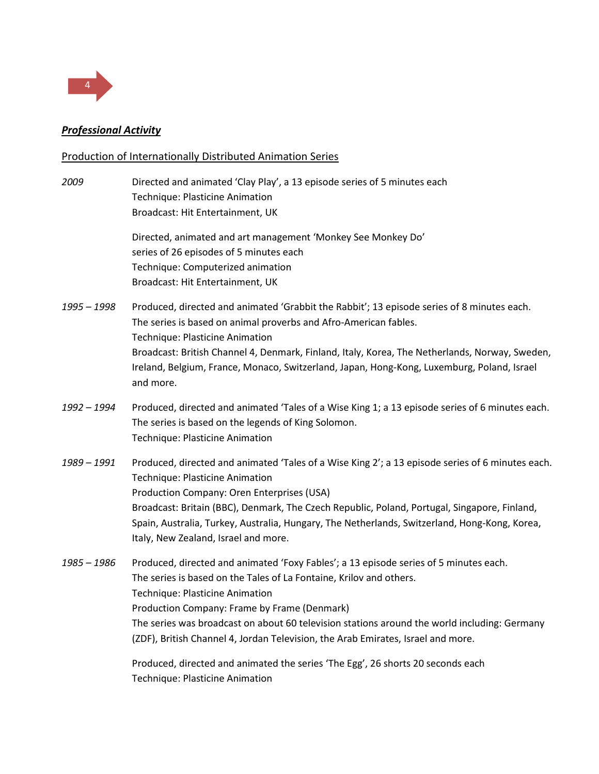

### *Professional Activity*

#### Production of Internationally Distributed Animation Series

*2009* Directed and animated 'Clay Play', a 13 episode series of 5 minutes each Technique: Plasticine Animation Broadcast: Hit Entertainment, UK Directed, animated and art management 'Monkey See Monkey Do' series of 26 episodes of 5 minutes each Technique: Computerized animation Broadcast: Hit Entertainment, UK *1995 – 1998* Produced, directed and animated 'Grabbit the Rabbit'; 13 episode series of 8 minutes each. The series is based on animal proverbs and Afro-American fables. Technique: Plasticine Animation Broadcast: British Channel 4, Denmark, Finland, Italy, Korea, The Netherlands, Norway, Sweden, Ireland, Belgium, France, Monaco, Switzerland, Japan, Hong-Kong, Luxemburg, Poland, Israel and more. *1992 – 1994* Produced, directed and animated 'Tales of a Wise King 1; a 13 episode series of 6 minutes each. The series is based on the legends of King Solomon. Technique: Plasticine Animation *1989 – 1991* Produced, directed and animated 'Tales of a Wise King 2'; a 13 episode series of 6 minutes each. Technique: Plasticine Animation Production Company: Oren Enterprises (USA) Broadcast: Britain (BBC), Denmark, The Czech Republic, Poland, Portugal, Singapore, Finland, Spain, Australia, Turkey, Australia, Hungary, The Netherlands, Switzerland, Hong-Kong, Korea, Italy, New Zealand, Israel and more. *1985 – 1986* Produced, directed and animated 'Foxy Fables'; a 13 episode series of 5 minutes each. The series is based on the Tales of La Fontaine, Krilov and others. Technique: Plasticine Animation Production Company: Frame by Frame (Denmark) The series was broadcast on about 60 television stations around the world including: Germany (ZDF), British Channel 4, Jordan Television, the Arab Emirates, Israel and more.

Produced, directed and animated the series 'The Egg', 26 shorts 20 seconds each Technique: Plasticine Animation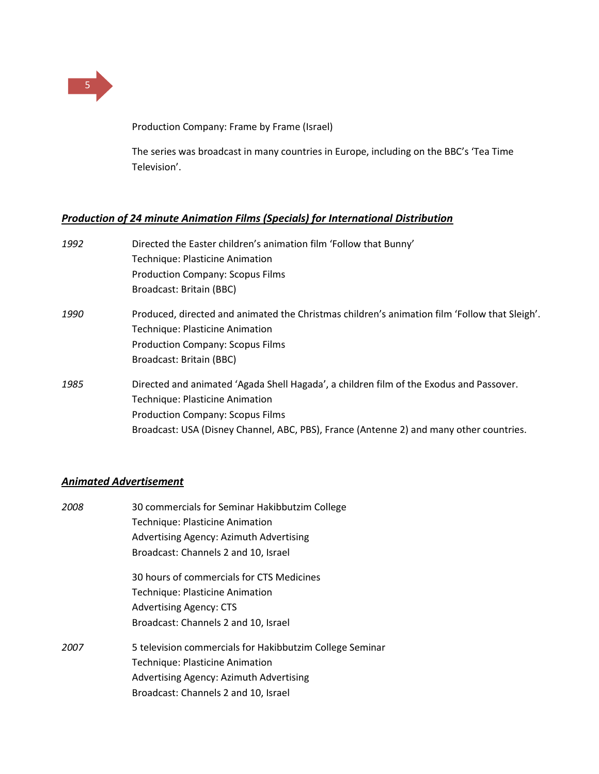

Production Company: Frame by Frame (Israel)

The series was broadcast in many countries in Europe, including on the BBC's 'Tea Time Television'.

# *Production of 24 minute Animation Films (Specials) for International Distribution*

| 1992 | Directed the Easter children's animation film 'Follow that Bunny'                                                                |
|------|----------------------------------------------------------------------------------------------------------------------------------|
|      | <b>Technique: Plasticine Animation</b>                                                                                           |
|      | <b>Production Company: Scopus Films</b>                                                                                          |
|      | Broadcast: Britain (BBC)                                                                                                         |
| 1990 | Produced, directed and animated the Christmas children's animation film 'Follow that Sleigh'.<br>Technique: Plasticine Animation |
|      | <b>Production Company: Scopus Films</b>                                                                                          |
|      | Broadcast: Britain (BBC)                                                                                                         |
| 1985 | Directed and animated 'Agada Shell Hagada', a children film of the Exodus and Passover.                                          |
|      | Technique: Plasticine Animation                                                                                                  |
|      | <b>Production Company: Scopus Films</b>                                                                                          |
|      | Broadcast: USA (Disney Channel, ABC, PBS), France (Antenne 2) and many other countries.                                          |

### *Animated Advertisement*

| 2008 | 30 commercials for Seminar Hakibbutzim College                                                                                                |
|------|-----------------------------------------------------------------------------------------------------------------------------------------------|
|      | <b>Technique: Plasticine Animation</b>                                                                                                        |
|      | Advertising Agency: Azimuth Advertising                                                                                                       |
|      | Broadcast: Channels 2 and 10, Israel                                                                                                          |
|      | 30 hours of commercials for CTS Medicines                                                                                                     |
|      | <b>Technique: Plasticine Animation</b>                                                                                                        |
|      | <b>Advertising Agency: CTS</b>                                                                                                                |
|      | Broadcast: Channels 2 and 10, Israel                                                                                                          |
| 2007 | 5 television commercials for Hakibbutzim College Seminar<br><b>Technique: Plasticine Animation</b><br>Advertising Agency: Azimuth Advertising |
|      | Broadcast: Channels 2 and 10, Israel                                                                                                          |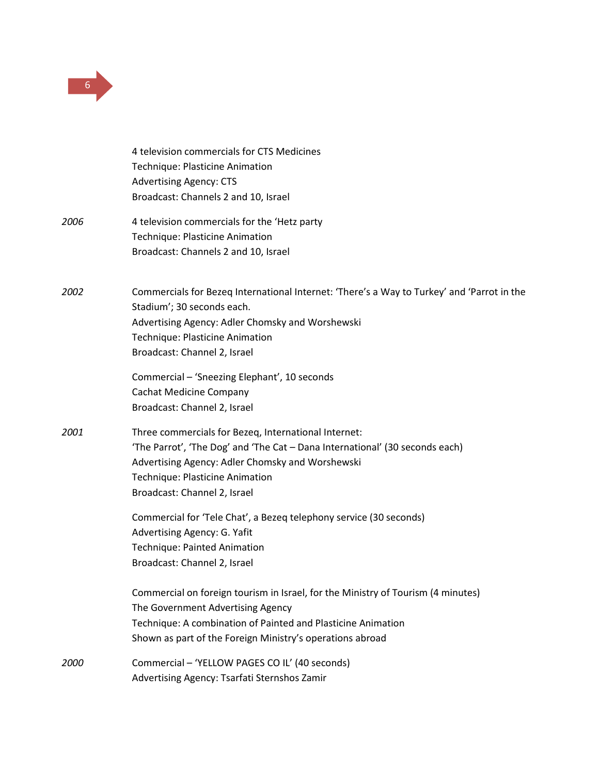

|      | 4 television commercials for CTS Medicines<br>Technique: Plasticine Animation<br><b>Advertising Agency: CTS</b><br>Broadcast: Channels 2 and 10, Israel                                                                                                     |
|------|-------------------------------------------------------------------------------------------------------------------------------------------------------------------------------------------------------------------------------------------------------------|
| 2006 | 4 television commercials for the 'Hetz party<br>Technique: Plasticine Animation<br>Broadcast: Channels 2 and 10, Israel                                                                                                                                     |
| 2002 | Commercials for Bezeq International Internet: 'There's a Way to Turkey' and 'Parrot in the<br>Stadium'; 30 seconds each.<br>Advertising Agency: Adler Chomsky and Worshewski<br>Technique: Plasticine Animation<br>Broadcast: Channel 2, Israel             |
|      | Commercial - 'Sneezing Elephant', 10 seconds<br><b>Cachat Medicine Company</b><br>Broadcast: Channel 2, Israel                                                                                                                                              |
| 2001 | Three commercials for Bezeq, International Internet:<br>'The Parrot', 'The Dog' and 'The Cat - Dana International' (30 seconds each)<br>Advertising Agency: Adler Chomsky and Worshewski<br>Technique: Plasticine Animation<br>Broadcast: Channel 2, Israel |
|      | Commercial for 'Tele Chat', a Bezeq telephony service (30 seconds)<br>Advertising Agency: G. Yafit<br><b>Technique: Painted Animation</b><br>Broadcast: Channel 2, Israel                                                                                   |
|      | Commercial on foreign tourism in Israel, for the Ministry of Tourism (4 minutes)<br>The Government Advertising Agency<br>Technique: A combination of Painted and Plasticine Animation<br>Shown as part of the Foreign Ministry's operations abroad          |
| 2000 | Commercial - 'YELLOW PAGES CO IL' (40 seconds)<br>Advertising Agency: Tsarfati Sternshos Zamir                                                                                                                                                              |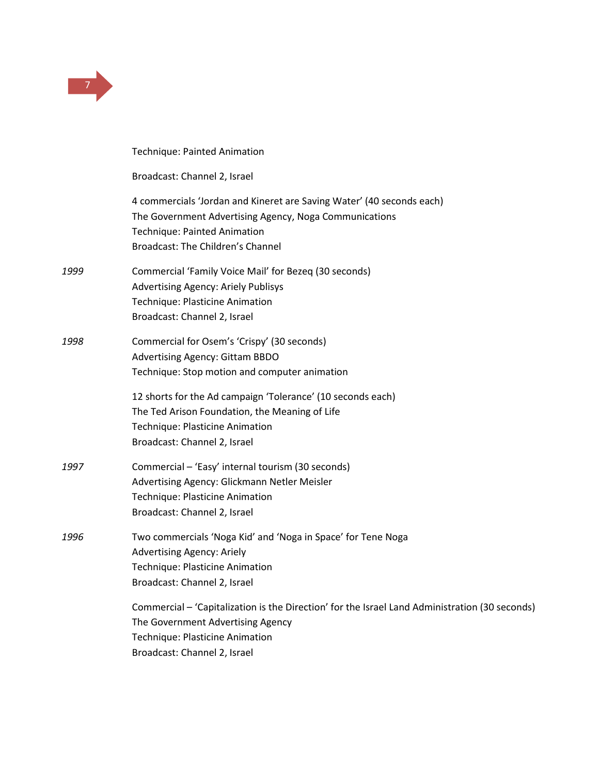

|      | <b>Technique: Painted Animation</b>                                                                                                                                                                         |
|------|-------------------------------------------------------------------------------------------------------------------------------------------------------------------------------------------------------------|
|      | Broadcast: Channel 2, Israel                                                                                                                                                                                |
|      | 4 commercials 'Jordan and Kineret are Saving Water' (40 seconds each)<br>The Government Advertising Agency, Noga Communications<br><b>Technique: Painted Animation</b><br>Broadcast: The Children's Channel |
| 1999 | Commercial 'Family Voice Mail' for Bezeq (30 seconds)<br><b>Advertising Agency: Ariely Publisys</b><br>Technique: Plasticine Animation<br>Broadcast: Channel 2, Israel                                      |
| 1998 | Commercial for Osem's 'Crispy' (30 seconds)<br><b>Advertising Agency: Gittam BBDO</b><br>Technique: Stop motion and computer animation                                                                      |
|      | 12 shorts for the Ad campaign 'Tolerance' (10 seconds each)<br>The Ted Arison Foundation, the Meaning of Life<br>Technique: Plasticine Animation<br>Broadcast: Channel 2, Israel                            |
| 1997 | Commercial - 'Easy' internal tourism (30 seconds)<br>Advertising Agency: Glickmann Netler Meisler<br>Technique: Plasticine Animation<br>Broadcast: Channel 2, Israel                                        |
| 1996 | Two commercials 'Noga Kid' and 'Noga in Space' for Tene Noga<br><b>Advertising Agency: Ariely</b><br>Technique: Plasticine Animation<br>Broadcast: Channel 2, Israel                                        |
|      | Commercial - 'Capitalization is the Direction' for the Israel Land Administration (30 seconds)<br>The Government Advertising Agency<br>Technique: Plasticine Animation<br>Broadcast: Channel 2, Israel      |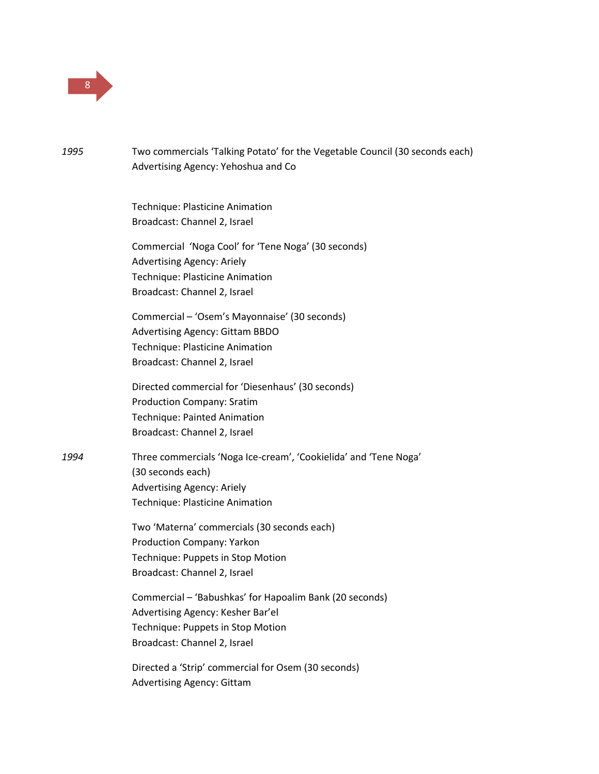

| 1995 | Two commercials 'Talking Potato' for the Vegetable Council (30 seconds each)<br>Advertising Agency: Yehoshua and Co                                               |
|------|-------------------------------------------------------------------------------------------------------------------------------------------------------------------|
|      | Technique: Plasticine Animation<br>Broadcast: Channel 2, Israel                                                                                                   |
|      | Commercial 'Noga Cool' for 'Tene Noga' (30 seconds)<br><b>Advertising Agency: Ariely</b><br>Technique: Plasticine Animation<br>Broadcast: Channel 2, Israel       |
|      | Commercial - 'Osem's Mayonnaise' (30 seconds)<br>Advertising Agency: Gittam BBDO<br>Technique: Plasticine Animation<br>Broadcast: Channel 2, Israel               |
|      | Directed commercial for 'Diesenhaus' (30 seconds)<br><b>Production Company: Sratim</b><br><b>Technique: Painted Animation</b><br>Broadcast: Channel 2, Israel     |
| 1994 | Three commercials 'Noga Ice-cream', 'Cookielida' and 'Tene Noga'<br>(30 seconds each)<br><b>Advertising Agency: Ariely</b><br>Technique: Plasticine Animation     |
|      | Two 'Materna' commercials (30 seconds each)<br>Production Company: Yarkon<br>Technique: Puppets in Stop Motion<br>Broadcast: Channel 2, Israel                    |
|      | Commercial - 'Babushkas' for Hapoalim Bank (20 seconds)<br>Advertising Agency: Kesher Bar'el<br>Technique: Puppets in Stop Motion<br>Broadcast: Channel 2, Israel |
|      | Directed a 'Strip' commercial for Osem (30 seconds)<br><b>Advertising Agency: Gittam</b>                                                                          |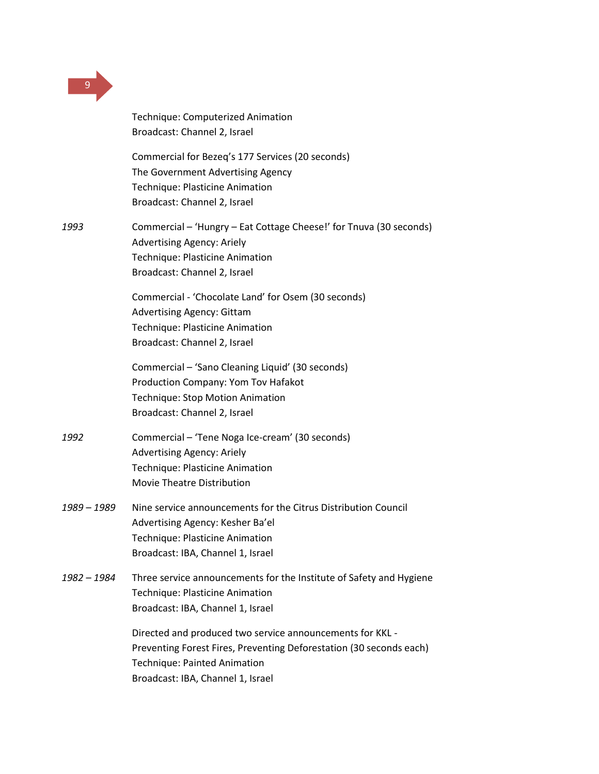

|             | Technique: Computerized Animation<br>Broadcast: Channel 2, Israel                                                                                                                                     |
|-------------|-------------------------------------------------------------------------------------------------------------------------------------------------------------------------------------------------------|
|             | Commercial for Bezeq's 177 Services (20 seconds)<br>The Government Advertising Agency<br>Technique: Plasticine Animation<br>Broadcast: Channel 2, Israel                                              |
| 1993        | Commercial - 'Hungry - Eat Cottage Cheese!' for Tnuva (30 seconds)<br><b>Advertising Agency: Ariely</b><br>Technique: Plasticine Animation<br>Broadcast: Channel 2, Israel                            |
|             | Commercial - 'Chocolate Land' for Osem (30 seconds)<br><b>Advertising Agency: Gittam</b><br>Technique: Plasticine Animation<br>Broadcast: Channel 2, Israel                                           |
|             | Commercial - 'Sano Cleaning Liquid' (30 seconds)<br>Production Company: Yom Tov Hafakot<br>Technique: Stop Motion Animation<br>Broadcast: Channel 2, Israel                                           |
| 1992        | Commercial - 'Tene Noga Ice-cream' (30 seconds)<br><b>Advertising Agency: Ariely</b><br>Technique: Plasticine Animation<br>Movie Theatre Distribution                                                 |
| 1989 - 1989 | Nine service announcements for the Citrus Distribution Council<br>Advertising Agency: Kesher Ba'el<br>Technique: Plasticine Animation<br>Broadcast: IBA, Channel 1, Israel                            |
| 1982 - 1984 | Three service announcements for the Institute of Safety and Hygiene<br>Technique: Plasticine Animation<br>Broadcast: IBA, Channel 1, Israel                                                           |
|             | Directed and produced two service announcements for KKL -<br>Preventing Forest Fires, Preventing Deforestation (30 seconds each)<br>Technique: Painted Animation<br>Broadcast: IBA, Channel 1, Israel |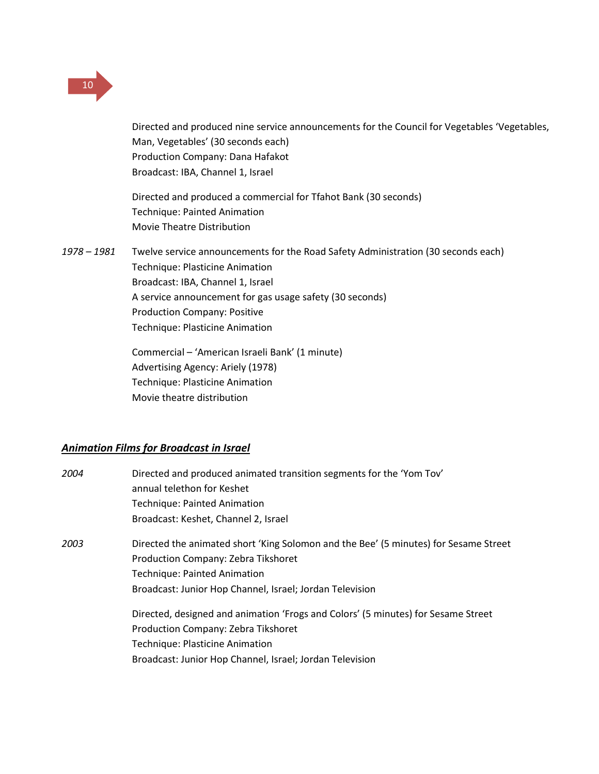

Directed and produced nine service announcements for the Council for Vegetables 'Vegetables, Man, Vegetables' (30 seconds each) Production Company: Dana Hafakot Broadcast: IBA, Channel 1, Israel

Directed and produced a commercial for Tfahot Bank (30 seconds) Technique: Painted Animation Movie Theatre Distribution

*1978 – 1981* Twelve service announcements for the Road Safety Administration (30 seconds each) Technique: Plasticine Animation Broadcast: IBA, Channel 1, Israel A service announcement for gas usage safety (30 seconds) Production Company: Positive Technique: Plasticine Animation Commercial – 'American Israeli Bank' (1 minute)

Advertising Agency: Ariely (1978)

Technique: Plasticine Animation

Movie theatre distribution

### *Animation Films for Broadcast in Israel*

| 2004 | Directed and produced animated transition segments for the 'Yom Tov'                 |
|------|--------------------------------------------------------------------------------------|
|      | annual telethon for Keshet                                                           |
|      | <b>Technique: Painted Animation</b>                                                  |
|      | Broadcast: Keshet, Channel 2, Israel                                                 |
| 2003 | Directed the animated short 'King Solomon and the Bee' (5 minutes) for Sesame Street |
|      | Production Company: Zebra Tikshoret                                                  |
|      | <b>Technique: Painted Animation</b>                                                  |
|      | Broadcast: Junior Hop Channel, Israel; Jordan Television                             |
|      | Directed, designed and animation 'Frogs and Colors' (5 minutes) for Sesame Street    |
|      | Production Company: Zebra Tikshoret                                                  |
|      | Technique: Plasticine Animation                                                      |
|      | Broadcast: Junior Hop Channel, Israel; Jordan Television                             |
|      |                                                                                      |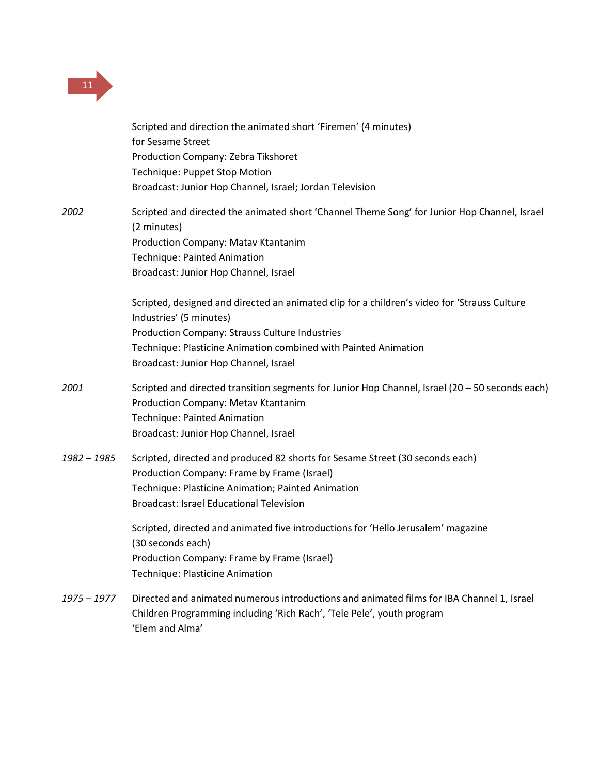

|             | Scripted and direction the animated short 'Firemen' (4 minutes)<br>for Sesame Street<br>Production Company: Zebra Tikshoret<br>Technique: Puppet Stop Motion<br>Broadcast: Junior Hop Channel, Israel; Jordan Television                                                              |
|-------------|---------------------------------------------------------------------------------------------------------------------------------------------------------------------------------------------------------------------------------------------------------------------------------------|
| 2002        | Scripted and directed the animated short 'Channel Theme Song' for Junior Hop Channel, Israel<br>(2 minutes)<br>Production Company: Matav Ktantanim<br>Technique: Painted Animation<br>Broadcast: Junior Hop Channel, Israel                                                           |
|             | Scripted, designed and directed an animated clip for a children's video for 'Strauss Culture<br>Industries' (5 minutes)<br>Production Company: Strauss Culture Industries<br>Technique: Plasticine Animation combined with Painted Animation<br>Broadcast: Junior Hop Channel, Israel |
| 2001        | Scripted and directed transition segments for Junior Hop Channel, Israel (20 - 50 seconds each)<br>Production Company: Metav Ktantanim<br><b>Technique: Painted Animation</b><br>Broadcast: Junior Hop Channel, Israel                                                                |
| 1982 - 1985 | Scripted, directed and produced 82 shorts for Sesame Street (30 seconds each)<br>Production Company: Frame by Frame (Israel)<br>Technique: Plasticine Animation; Painted Animation<br><b>Broadcast: Israel Educational Television</b>                                                 |
|             | Scripted, directed and animated five introductions for 'Hello Jerusalem' magazine<br>(30 seconds each)<br>Production Company: Frame by Frame (Israel)<br>Technique: Plasticine Animation                                                                                              |
| 1975 – 1977 | Directed and animated numerous introductions and animated films for IBA Channel 1, Israel<br>Children Programming including 'Rich Rach', 'Tele Pele', youth program<br>'Elem and Alma'                                                                                                |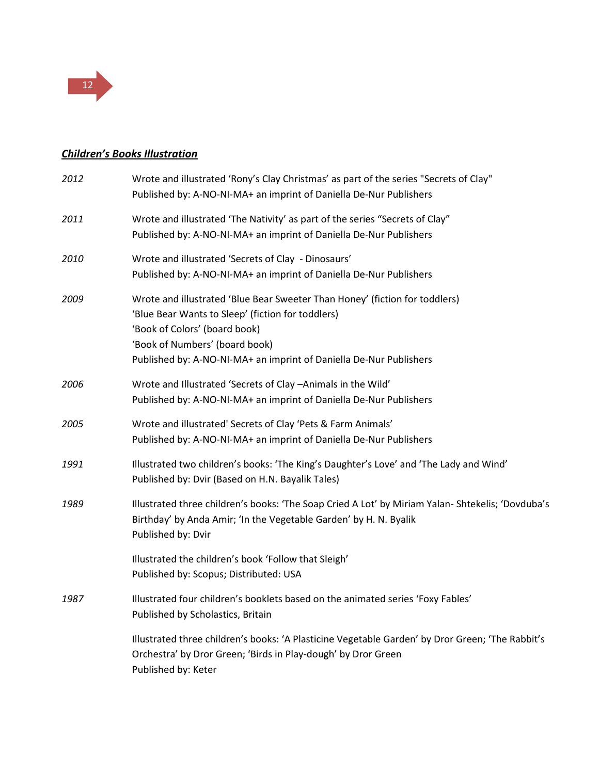

# *Children's Books Illustration*

| 2012 | Wrote and illustrated 'Rony's Clay Christmas' as part of the series "Secrets of Clay"<br>Published by: A-NO-NI-MA+ an imprint of Daniella De-Nur Publishers                                                                                                               |
|------|---------------------------------------------------------------------------------------------------------------------------------------------------------------------------------------------------------------------------------------------------------------------------|
| 2011 | Wrote and illustrated 'The Nativity' as part of the series "Secrets of Clay"<br>Published by: A-NO-NI-MA+ an imprint of Daniella De-Nur Publishers                                                                                                                        |
| 2010 | Wrote and illustrated 'Secrets of Clay - Dinosaurs'<br>Published by: A-NO-NI-MA+ an imprint of Daniella De-Nur Publishers                                                                                                                                                 |
| 2009 | Wrote and illustrated 'Blue Bear Sweeter Than Honey' (fiction for toddlers)<br>'Blue Bear Wants to Sleep' (fiction for toddlers)<br>'Book of Colors' (board book)<br>'Book of Numbers' (board book)<br>Published by: A-NO-NI-MA+ an imprint of Daniella De-Nur Publishers |
| 2006 | Wrote and Illustrated 'Secrets of Clay -Animals in the Wild'<br>Published by: A-NO-NI-MA+ an imprint of Daniella De-Nur Publishers                                                                                                                                        |
| 2005 | Wrote and illustrated' Secrets of Clay 'Pets & Farm Animals'<br>Published by: A-NO-NI-MA+ an imprint of Daniella De-Nur Publishers                                                                                                                                        |
| 1991 | Illustrated two children's books: 'The King's Daughter's Love' and 'The Lady and Wind'<br>Published by: Dvir (Based on H.N. Bayalik Tales)                                                                                                                                |
| 1989 | Illustrated three children's books: 'The Soap Cried A Lot' by Miriam Yalan- Shtekelis; 'Dovduba's<br>Birthday' by Anda Amir; 'In the Vegetable Garden' by H. N. Byalik<br>Published by: Dvir                                                                              |
|      | Illustrated the children's book 'Follow that Sleigh'<br>Published by: Scopus; Distributed: USA                                                                                                                                                                            |
| 1987 | Illustrated four children's booklets based on the animated series 'Foxy Fables'<br>Published by Scholastics, Britain                                                                                                                                                      |
|      | Illustrated three children's books: 'A Plasticine Vegetable Garden' by Dror Green; 'The Rabbit's<br>Orchestra' by Dror Green; 'Birds in Play-dough' by Dror Green<br>Published by: Keter                                                                                  |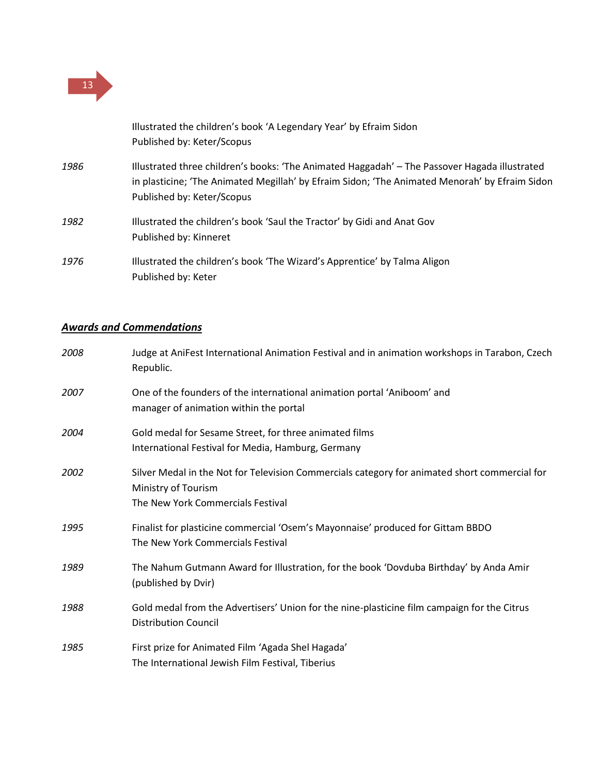

|      | Illustrated the children's book 'A Legendary Year' by Efraim Sidon<br>Published by: Keter/Scopus                                                                                                                              |
|------|-------------------------------------------------------------------------------------------------------------------------------------------------------------------------------------------------------------------------------|
| 1986 | Illustrated three children's books: 'The Animated Haggadah' - The Passover Hagada illustrated<br>in plasticine; 'The Animated Megillah' by Efraim Sidon; 'The Animated Menorah' by Efraim Sidon<br>Published by: Keter/Scopus |
| 1982 | Illustrated the children's book 'Saul the Tractor' by Gidi and Anat Gov<br>Published by: Kinneret                                                                                                                             |
| 1976 | Illustrated the children's book 'The Wizard's Apprentice' by Talma Aligon<br>Published by: Keter                                                                                                                              |

## *Awards and Commendations*

| 2008 | Judge at AniFest International Animation Festival and in animation workshops in Tarabon, Czech<br>Republic.                                               |
|------|-----------------------------------------------------------------------------------------------------------------------------------------------------------|
| 2007 | One of the founders of the international animation portal 'Aniboom' and<br>manager of animation within the portal                                         |
| 2004 | Gold medal for Sesame Street, for three animated films<br>International Festival for Media, Hamburg, Germany                                              |
| 2002 | Silver Medal in the Not for Television Commercials category for animated short commercial for<br>Ministry of Tourism<br>The New York Commercials Festival |
| 1995 | Finalist for plasticine commercial 'Osem's Mayonnaise' produced for Gittam BBDO<br>The New York Commercials Festival                                      |
| 1989 | The Nahum Gutmann Award for Illustration, for the book 'Dovduba Birthday' by Anda Amir<br>(published by Dvir)                                             |
| 1988 | Gold medal from the Advertisers' Union for the nine-plasticine film campaign for the Citrus<br><b>Distribution Council</b>                                |
| 1985 | First prize for Animated Film 'Agada Shel Hagada'<br>The International Jewish Film Festival, Tiberius                                                     |